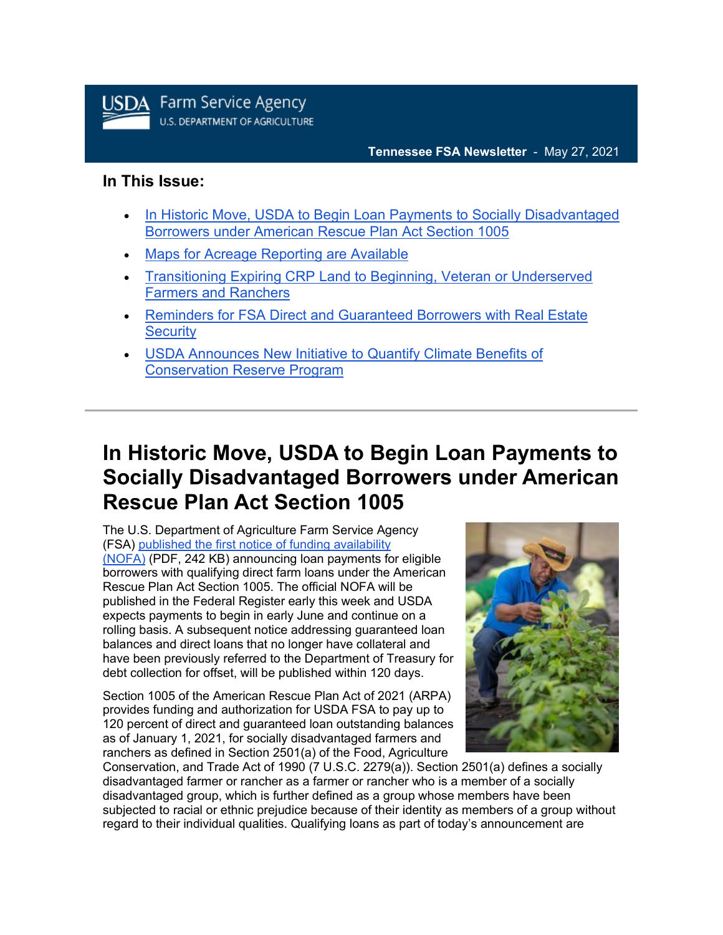

### **Tennessee FSA Newsletter** - May 27, 2021

### **In This Issue:**

- [In Historic Move, USDA to Begin Loan Payments to Socially Disadvantaged](https://admin.govdelivery.com/accounts/USDAFARMERS/bulletins?sortdesc=bulletinsort-sent_at&state=sent#link_1)  [Borrowers under American Rescue Plan Act Section 1005](https://admin.govdelivery.com/accounts/USDAFARMERS/bulletins?sortdesc=bulletinsort-sent_at&state=sent#link_1)
- [Maps for Acreage Reporting are Available](https://admin.govdelivery.com/accounts/USDAFARMERS/bulletins?sortdesc=bulletinsort-sent_at&state=sent#link_2)
- [Transitioning Expiring CRP Land to Beginning, Veteran or Underserved](https://admin.govdelivery.com/accounts/USDAFARMERS/bulletins?sortdesc=bulletinsort-sent_at&state=sent#link_3)  [Farmers and Ranchers](https://admin.govdelivery.com/accounts/USDAFARMERS/bulletins?sortdesc=bulletinsort-sent_at&state=sent#link_3)
- [Reminders for FSA Direct and Guaranteed Borrowers with Real Estate](https://admin.govdelivery.com/accounts/USDAFARMERS/bulletins?sortdesc=bulletinsort-sent_at&state=sent#link_4)  **[Security](https://admin.govdelivery.com/accounts/USDAFARMERS/bulletins?sortdesc=bulletinsort-sent_at&state=sent#link_4)**
- [USDA Announces New Initiative to Quantify Climate Benefits of](https://admin.govdelivery.com/accounts/USDAFARMERS/bulletins?sortdesc=bulletinsort-sent_at&state=sent#link_5)  [Conservation Reserve Program](https://admin.govdelivery.com/accounts/USDAFARMERS/bulletins?sortdesc=bulletinsort-sent_at&state=sent#link_5)

# **In Historic Move, USDA to Begin Loan Payments to Socially Disadvantaged Borrowers under American Rescue Plan Act Section 1005**

The U.S. Department of Agriculture Farm Service Agency (FSA) [published the first notice of funding availability](https://public-inspection.federalregister.gov/2021-11155.pdf?utm_medium=email&utm_source=govdelivery)  [\(NOFA\)](https://public-inspection.federalregister.gov/2021-11155.pdf?utm_medium=email&utm_source=govdelivery) (PDF, 242 KB) announcing loan payments for eligible borrowers with qualifying direct farm loans under the American Rescue Plan Act Section 1005. The official NOFA will be published in the Federal Register early this week and USDA expects payments to begin in early June and continue on a rolling basis. A subsequent notice addressing guaranteed loan balances and direct loans that no longer have collateral and have been previously referred to the Department of Treasury for debt collection for offset, will be published within 120 days.

Section 1005 of the American Rescue Plan Act of 2021 (ARPA) provides funding and authorization for USDA FSA to pay up to 120 percent of direct and guaranteed loan outstanding balances as of January 1, 2021, for socially disadvantaged farmers and ranchers as defined in Section 2501(a) of the Food, Agriculture



Conservation, and Trade Act of 1990 (7 U.S.C. 2279(a)). Section 2501(a) defines a socially disadvantaged farmer or rancher as a farmer or rancher who is a member of a socially disadvantaged group, which is further defined as a group whose members have been subjected to racial or ethnic prejudice because of their identity as members of a group without regard to their individual qualities. Qualifying loans as part of today's announcement are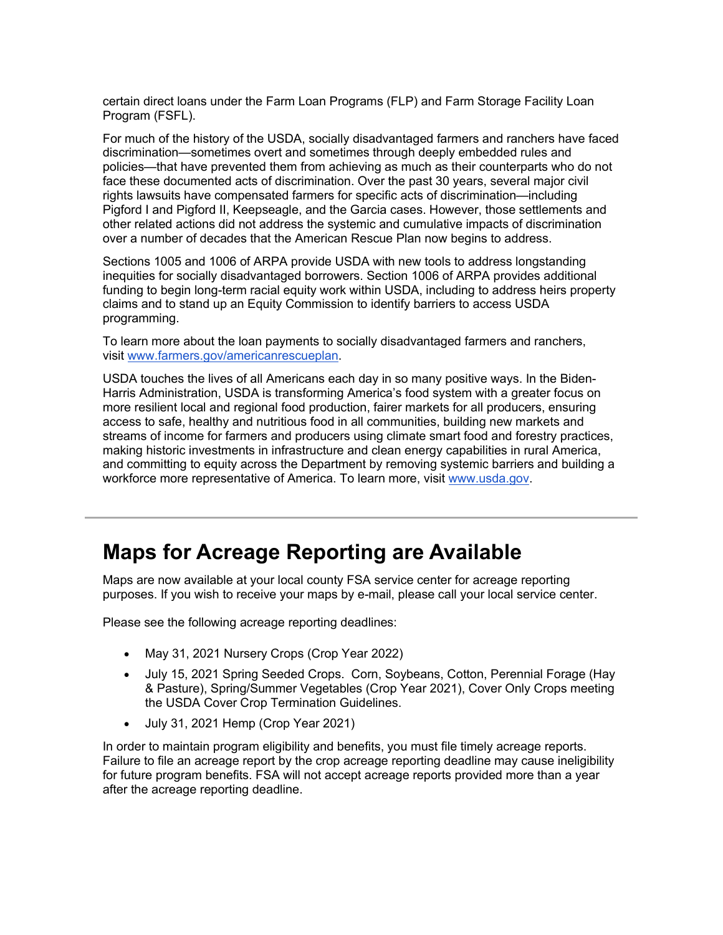certain direct loans under the Farm Loan Programs (FLP) and Farm Storage Facility Loan Program (FSFL).

For much of the history of the USDA, socially disadvantaged farmers and ranchers have faced discrimination—sometimes overt and sometimes through deeply embedded rules and policies—that have prevented them from achieving as much as their counterparts who do not face these documented acts of discrimination. Over the past 30 years, several major civil rights lawsuits have compensated farmers for specific acts of discrimination—including Pigford I and Pigford II, Keepseagle, and the Garcia cases. However, those settlements and other related actions did not address the systemic and cumulative impacts of discrimination over a number of decades that the American Rescue Plan now begins to address.

Sections 1005 and 1006 of ARPA provide USDA with new tools to address longstanding inequities for socially disadvantaged borrowers. Section 1006 of ARPA provides additional funding to begin long-term racial equity work within USDA, including to address heirs property claims and to stand up an Equity Commission to identify barriers to access USDA programming.

To learn more about the loan payments to socially disadvantaged farmers and ranchers, visit [www.farmers.gov/americanrescueplan.](https://www.farmers.gov/americanrescueplan?utm_medium=email&utm_source=govdelivery)

USDA touches the lives of all Americans each day in so many positive ways. In the Biden-Harris Administration, USDA is transforming America's food system with a greater focus on more resilient local and regional food production, fairer markets for all producers, ensuring access to safe, healthy and nutritious food in all communities, building new markets and streams of income for farmers and producers using climate smart food and forestry practices, making historic investments in infrastructure and clean energy capabilities in rural America, and committing to equity across the Department by removing systemic barriers and building a workforce more representative of America. To learn more, visit [www.usda.gov.](https://www.usda.gov/?utm_medium=email&utm_source=govdelivery)

# **Maps for Acreage Reporting are Available**

Maps are now available at your local county FSA service center for acreage reporting purposes. If you wish to receive your maps by e-mail, please call your local service center.

Please see the following acreage reporting deadlines:

- May 31, 2021 Nursery Crops (Crop Year 2022)
- July 15, 2021 Spring Seeded Crops. Corn, Soybeans, Cotton, Perennial Forage (Hay & Pasture), Spring/Summer Vegetables (Crop Year 2021), Cover Only Crops meeting the USDA Cover Crop Termination Guidelines.
- July 31, 2021 Hemp (Crop Year 2021)

In order to maintain program eligibility and benefits, you must file timely acreage reports. Failure to file an acreage report by the crop acreage reporting deadline may cause ineligibility for future program benefits. FSA will not accept acreage reports provided more than a year after the acreage reporting deadline.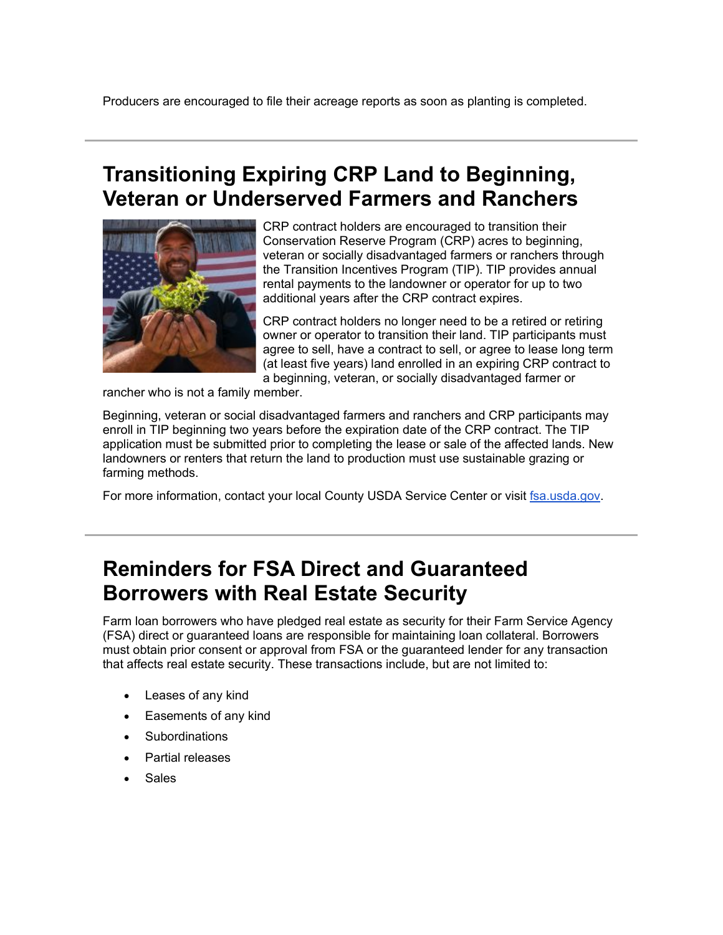# **Transitioning Expiring CRP Land to Beginning, Veteran or Underserved Farmers and Ranchers**



CRP contract holders are encouraged to transition their Conservation Reserve Program (CRP) acres to beginning, veteran or socially disadvantaged farmers or ranchers through the Transition Incentives Program (TIP). TIP provides annual rental payments to the landowner or operator for up to two additional years after the CRP contract expires.

CRP contract holders no longer need to be a retired or retiring owner or operator to transition their land. TIP participants must agree to sell, have a contract to sell, or agree to lease long term (at least five years) land enrolled in an expiring CRP contract to a beginning, veteran, or socially disadvantaged farmer or

rancher who is not a family member.

Beginning, veteran or social disadvantaged farmers and ranchers and CRP participants may enroll in TIP beginning two years before the expiration date of the CRP contract. The TIP application must be submitted prior to completing the lease or sale of the affected lands. New landowners or renters that return the land to production must use sustainable grazing or farming methods.

For more information, contact your local County USDA Service Center or visit [fsa.usda.gov.](https://gcc02.safelinks.protection.outlook.com/?data=04%7C01%7C%7Cb50ef31b838845298e4608d91ec5d8ee%7Ced5b36e701ee4ebc867ee03cfa0d4697%7C0%7C0%7C637574657356936069%7CUnknown%7CTWFpbGZsb3d8eyJWIjoiMC4wLjAwMDAiLCJQIjoiV2luMzIiLCJBTiI6Ik1haWwiLCJXVCI6Mn0%3D%7C1000&reserved=0&sdata=KXTPW%2FfDhmGf8BkBTHFTK9ylKd4LWjbT5868oZQ8DNw%3D&url=http%3A%2F%2Fwww.fsa.usda.gov%2F%3Futm_medium%3Demail%26utm_source%3Dgovdelivery&utm_medium=email&utm_source=govdelivery)

# **Reminders for FSA Direct and Guaranteed Borrowers with Real Estate Security**

Farm loan borrowers who have pledged real estate as security for their Farm Service Agency (FSA) direct or guaranteed loans are responsible for maintaining loan collateral. Borrowers must obtain prior consent or approval from FSA or the guaranteed lender for any transaction that affects real estate security. These transactions include, but are not limited to:

- Leases of any kind
- Easements of any kind
- **Subordinations**
- Partial releases
- **Sales**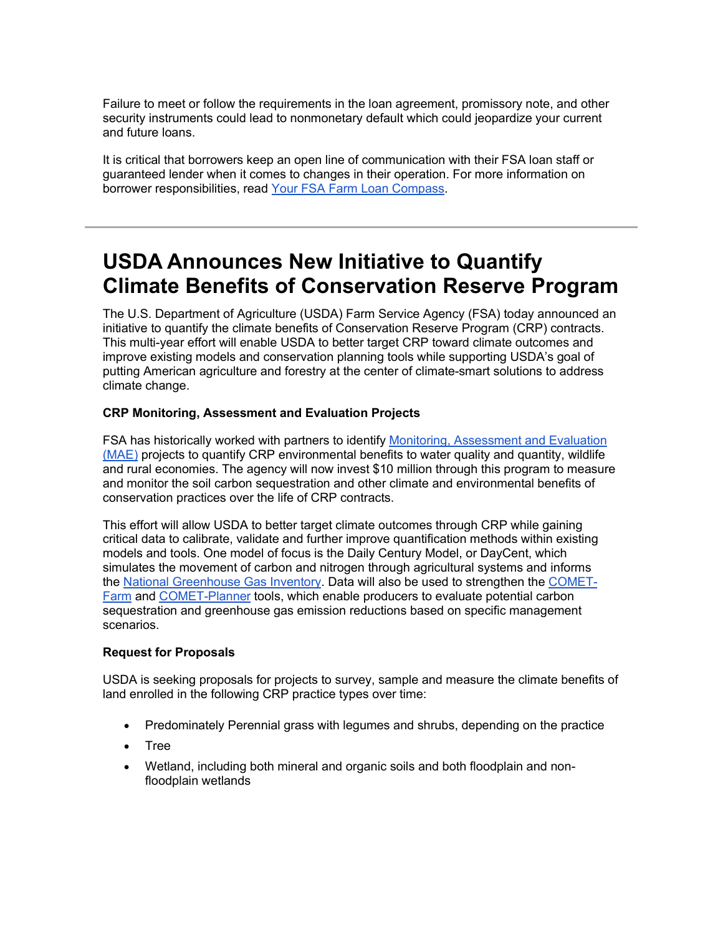Failure to meet or follow the requirements in the loan agreement, promissory note, and other security instruments could lead to nonmonetary default which could jeopardize your current and future loans.

It is critical that borrowers keep an open line of communication with their FSA loan staff or guaranteed lender when it comes to changes in their operation. For more information on borrower responsibilities, read [Your FSA Farm Loan Compass.](https://www.fsa.usda.gov/Assets/USDA-FSA-Public/usdafiles/Farm-Loan-Programs/pdfs/loan-servicing/farm_loan_compass_9-22-17.pdf?utm_medium=email&utm_source=govdelivery)

# **USDA Announces New Initiative to Quantify Climate Benefits of Conservation Reserve Program**

The U.S. Department of Agriculture (USDA) Farm Service Agency (FSA) today announced an initiative to quantify the climate benefits of Conservation Reserve Program (CRP) contracts. This multi-year effort will enable USDA to better target CRP toward climate outcomes and improve existing models and conservation planning tools while supporting USDA's goal of putting American agriculture and forestry at the center of climate-smart solutions to address climate change.

### **CRP Monitoring, Assessment and Evaluation Projects**

FSA has historically worked with partners to identify [Monitoring, Assessment and Evaluation](https://www.fsa.usda.gov/programs-and-services/economic-and-policy-analysis/natural-resources-analysis/mae-reports-and-articles/index?utm_medium=email&utm_source=govdelivery)  [\(MAE\)](https://www.fsa.usda.gov/programs-and-services/economic-and-policy-analysis/natural-resources-analysis/mae-reports-and-articles/index?utm_medium=email&utm_source=govdelivery) projects to quantify CRP environmental benefits to water quality and quantity, wildlife and rural economies. The agency will now invest \$10 million through this program to measure and monitor the soil carbon sequestration and other climate and environmental benefits of conservation practices over the life of CRP contracts.

This effort will allow USDA to better target climate outcomes through CRP while gaining critical data to calibrate, validate and further improve quantification methods within existing models and tools. One model of focus is the Daily Century Model, or DayCent, which simulates the movement of carbon and nitrogen through agricultural systems and informs the [National Greenhouse Gas Inventory.](https://www.epa.gov/ghgemissions/inventory-us-greenhouse-gas-emissions-and-sinks?utm_medium=email&utm_source=govdelivery) Data will also be used to strengthen the [COMET-](https://comet-farm.com/?utm_medium=email&utm_source=govdelivery)[Farm](https://comet-farm.com/?utm_medium=email&utm_source=govdelivery) and [COMET-Planner](http://comet-planner.com/?utm_medium=email&utm_source=govdelivery) tools, which enable producers to evaluate potential carbon sequestration and greenhouse gas emission reductions based on specific management scenarios.

### **Request for Proposals**

USDA is seeking proposals for projects to survey, sample and measure the climate benefits of land enrolled in the following CRP practice types over time:

- Predominately Perennial grass with legumes and shrubs, depending on the practice
- Tree
- Wetland, including both mineral and organic soils and both floodplain and nonfloodplain wetlands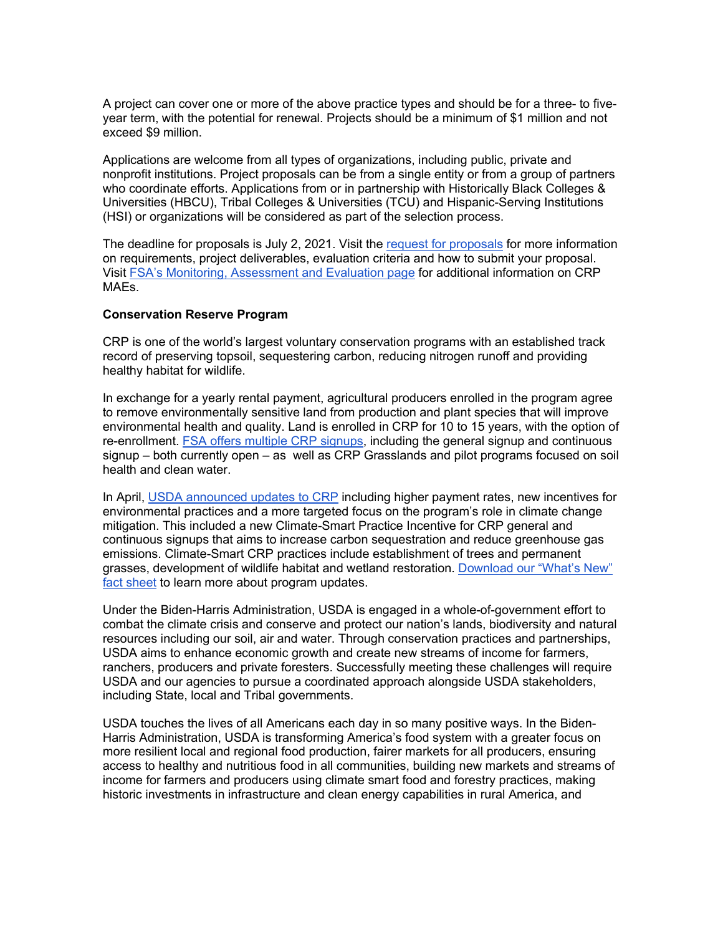A project can cover one or more of the above practice types and should be for a three- to fiveyear term, with the potential for renewal. Projects should be a minimum of \$1 million and not exceed \$9 million.

Applications are welcome from all types of organizations, including public, private and nonprofit institutions. Project proposals can be from a single entity or from a group of partners who coordinate efforts. Applications from or in partnership with Historically Black Colleges & Universities (HBCU), Tribal Colleges & Universities (TCU) and Hispanic-Serving Institutions (HSI) or organizations will be considered as part of the selection process.

The deadline for proposals is July 2, 2021. Visit the [request for proposals](https://www.fsa.usda.gov/Assets/USDA-FSA-Public/usdafiles/Conservation/PDF/crp-mae-climate-rfp.pdf?utm_medium=email&utm_source=govdelivery) for more information on requirements, project deliverables, evaluation criteria and how to submit your proposal. Visit [FSA's Monitoring, Assessment and Evaluation page](https://www.fsa.usda.gov/programs-and-services/economic-and-policy-analysis/natural-resources-analysis/mae-reports-and-articles/index?utm_medium=email&utm_source=govdelivery) for additional information on CRP MAEs.

#### **Conservation Reserve Program**

CRP is one of the world's largest voluntary conservation programs with an established track record of preserving topsoil, sequestering carbon, reducing nitrogen runoff and providing healthy habitat for wildlife.

In exchange for a yearly rental payment, agricultural producers enrolled in the program agree to remove environmentally sensitive land from production and plant species that will improve environmental health and quality. Land is enrolled in CRP for 10 to 15 years, with the option of re-enrollment. **FSA offers multiple CRP signups**, including the general signup and continuous signup – both currently open – as well as CRP Grasslands and pilot programs focused on soil health and clean water.

In April, [USDA announced updates to CRP](https://www.fsa.usda.gov/news-room/news-releases/2021/usda-expands-and-renews-conservation-reserve-program-in-effort-to-boost-enrollment-and-address-climate-change?utm_medium=email&utm_source=govdelivery) including higher payment rates, new incentives for environmental practices and a more targeted focus on the program's role in climate change mitigation. This included a new Climate-Smart Practice Incentive for CRP general and continuous signups that aims to increase carbon sequestration and reduce greenhouse gas emissions. Climate-Smart CRP practices include establishment of trees and permanent grasses, development of wildlife habitat and wetland restoration. [Download our "What's New"](https://www.fsa.usda.gov/Assets/USDA-FSA-Public/usdafiles/FactSheets/crp-whats-new-fact-sheet.pdf?utm_medium=email&utm_source=govdelivery)  [fact sheet](https://www.fsa.usda.gov/Assets/USDA-FSA-Public/usdafiles/FactSheets/crp-whats-new-fact-sheet.pdf?utm_medium=email&utm_source=govdelivery) to learn more about program updates.

Under the Biden-Harris Administration, USDA is engaged in a whole-of-government effort to combat the climate crisis and conserve and protect our nation's lands, biodiversity and natural resources including our soil, air and water. Through conservation practices and partnerships, USDA aims to enhance economic growth and create new streams of income for farmers, ranchers, producers and private foresters. Successfully meeting these challenges will require USDA and our agencies to pursue a coordinated approach alongside USDA stakeholders, including State, local and Tribal governments.

USDA touches the lives of all Americans each day in so many positive ways. In the Biden-Harris Administration, USDA is transforming America's food system with a greater focus on more resilient local and regional food production, fairer markets for all producers, ensuring access to healthy and nutritious food in all communities, building new markets and streams of income for farmers and producers using climate smart food and forestry practices, making historic investments in infrastructure and clean energy capabilities in rural America, and